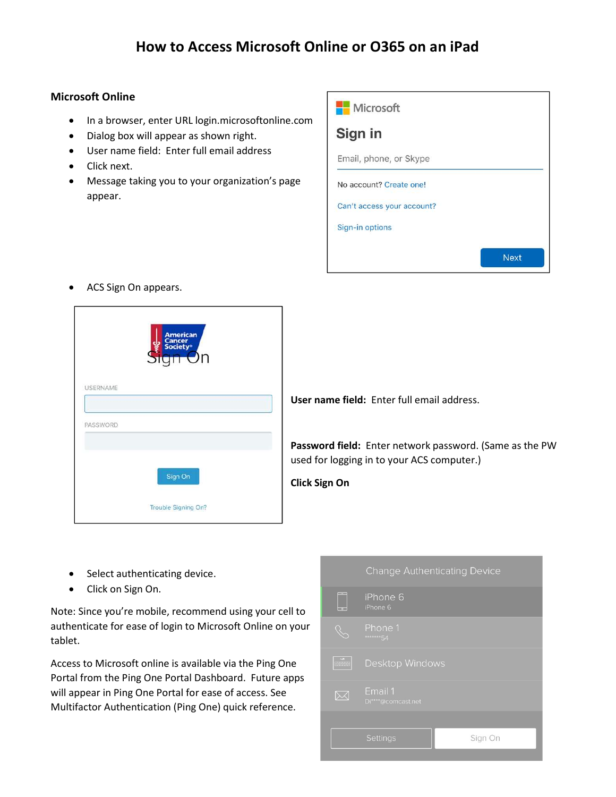## How to Access Microsoft Online or O365 on an iPad

## Microsoft Online

- In a browser, enter URL login.microsoftonline.com
- Dialog box will appear as shown right.
- User name field: Enter full email address
- Click next.
- Message taking you to your organization's page appear.



ACS Sign On appears.

| <b>USERNAME</b> | American<br>Cancer<br>Society®<br>Un |  |
|-----------------|--------------------------------------|--|
|                 |                                      |  |
| PASSWORD        |                                      |  |
|                 | Sign On                              |  |
|                 | Trouble Signing On?                  |  |

User name field: Enter full email address.

Password field: Enter network password. (Same as the PW used for logging in to your ACS computer.)

Click Sign On

- Select authenticating device.
- Click on Sign On.

Note: Since you're mobile, recommend using your cell to authenticate for ease of login to Microsoft Online on your tablet.

Access to Microsoft online is available via the Ping One Portal from the Ping One Portal Dashboard. Future apps will appear in Ping One Portal for ease of access. See Multifactor Authentication (Ping One) quick reference.